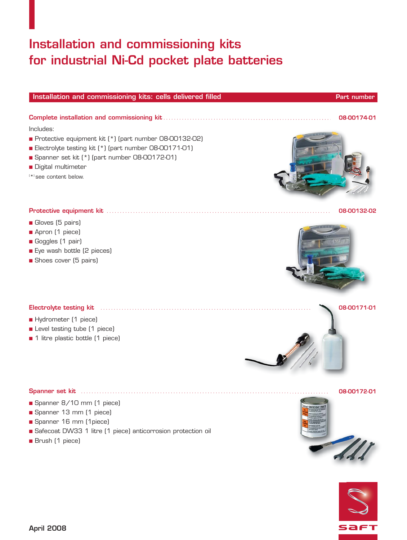## **Installation and commissioning kits for industrial Ni-Cd pocket plate batteries**

■ Protective equipment kit (\*) (part number 08-00132-02) ■ Electrolyte testing kit (\*) (part number 08-00171-01) ■ Spanner set kit (\*) (part number 08-00172-01)

### **Protective equipment kit** ..................................................................................... **08-00132-02**

■ Gloves (5 pairs)

■ Digital multimeter ( \*) see content below.

Includes:

- Apron (1 piece)
- Goggles (1 pair)
- Eye wash bottle (2 pieces)
- Shoes cover (5 pairs)

- Hydrometer (1 piece)
- Level testing tube (1 piece)
- 1 litre plastic bottle (1 piece)

### **Spanner set kit** .............................................................................................. **08-00172-01**

- Spanner 8/10 mm (1 piece)
- Spanner 13 mm (1 piece)
- Spanner 16 mm (1piece)
- Safecoat DW33 1 litre (1 piece) anticorrosion protection oil
- Brush (1 piece)











**Installation and commissioning kits: cells delivered filled <b>Part 100 and 200 and 200 and Part number Part number**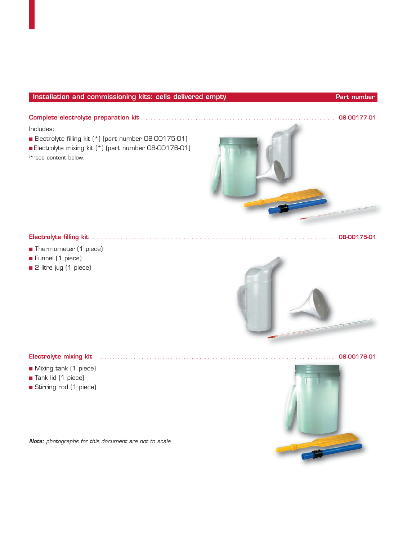### **Installation and commissioning kits: cells delivered empty and a state of the Part number Part number**

Includes:

- Electrolyte filling kit (\*) (part number 08-00175-01)
- Electrolyte mixing kit (\*) (part number 08-00176-01)
- ( \*) see content below.



### **Electrolyte filling kit** ............................................................................................ **08-00175-01**

- Thermometer (1 piece)
- Funnel (1 piece)
- 2 litre jug (1 piece)



- Mixing tank (1 piece)
- Tank lid (1 piece)
- Stirring rod (1 piece)

**Note:** photographs for this document are not to scale



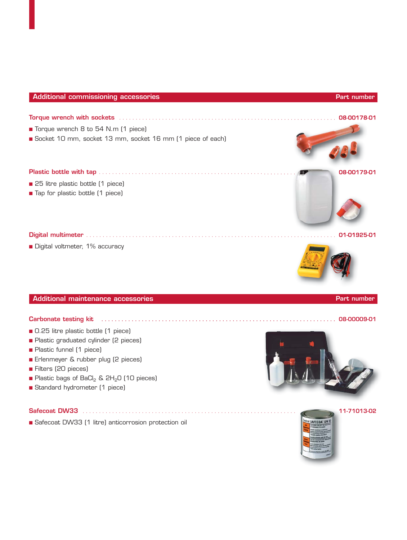# ■ Torque wrench 8 to 54 N.m (1 piece) ■ Socket 10 mm, socket 13 mm, socket 16 mm (1 piece of each) **Torque wrench with sockets** . . . . . . . . . . . . . . . . . . . . . . . . . . . . . . . . . . . . . . . . . . . . . . . . . . . . . . . . . . . . . . . . . . **08-00178-01** ■ 25 litre plastic bottle (1 piece) ■ Tap for plastic bottle (1 piece) **Plastic bottle with tap** . . . . . . . . . . . . . . . . . . . . . . . . . . . . . . . . . . . . . . . . . . . . . . . . . . . . . . . . . . . . **08-00179-01 Digital multimeter** . . . . . . . . . . . . . . . . . . . . . . . . . . . . . . . . . . . . . . . . . . . . . . . . . . . . . . . . . . . . . . . . . . . . . . . . . . . . **01-01925-01 Additional commissioning accessories Additional Commissioning accessories** Part number **Part number**

■ Digital voltmeter, 1% accuracy

**Additional maintenance accessories Additional maintenance accessories** Part number **Part number** 

### **Carbonate testing kit . . . . . . . . . . . . . . . . . . . . . . . . . . . . . . . . . . . . . . . . . . . . . . . . . . . . . . . . . . . . . . . . . . . . . . 08-00009-01**

- 0.25 litre plastic bottle (1 piece)
- Plastic graduated cylinder (2 pieces)
- Plastic funnel (1 piece)
- Erlenmeyer & rubber plug (2 pieces)
- Filters (20 pieces)
- Plastic bags of BaCl<sub>2</sub> & 2H<sub>2</sub>O (10 pieces)
- Standard hydrometer (1 piece)

■ Safecoat DW33 (1 litre) anticorrosion protection oil







**Safecoat DW33** . . . . . . . . . . . . . . . . . . . . . . . . . . . . . . . . . . . . . . . . . . . . . . . . . . . . . . . . . . . . . . . . . **11-71013-02**